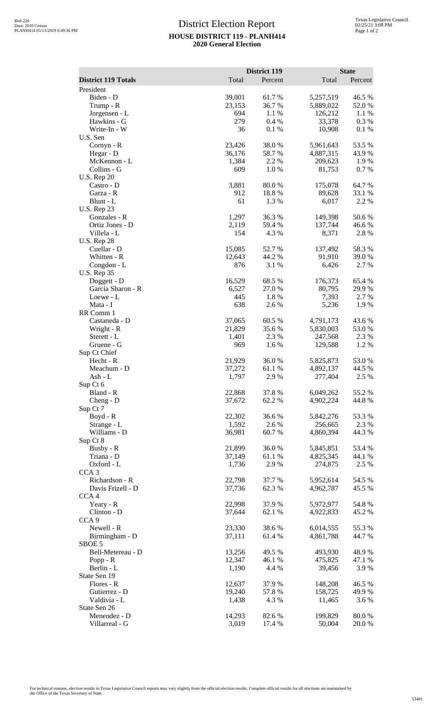## District Election Report **HOUSE DISTRICT 119 - PLANH414 2020 General Election**

|                                   |            | <b>District 119</b> |                        | <b>State</b>    |
|-----------------------------------|------------|---------------------|------------------------|-----------------|
| <b>District 119 Totals</b>        | Total      | Percent             | Total                  | Percent         |
| President                         |            |                     |                        |                 |
| Biden - D                         | 39,001     | 61.7%               | 5,257,519              | 46.5 %          |
| Trump - R                         | 23,153     | 36.7%               | 5,889,022              | 52.0%           |
| Jorgensen - L<br>Hawkins - G      | 694<br>279 | 1.1 %<br>0.4%       | 126,212<br>33,378      | 1.1 %<br>0.3%   |
| Write-In - W                      | 36         | 0.1 %               | 10,908                 | 0.1%            |
| U.S. Sen                          |            |                     |                        |                 |
| Cornyn - R                        | 23,426     | 38.0%               | 5,961,643              | 53.5 %          |
| Hegar - D                         | 36,176     | 58.7%               | 4,887,315              | 43.9%           |
| McKennon - L                      | 1,384      | 2.2 %               | 209,623                | 1.9%            |
| Collins - G                       | 609        | 1.0%                | 81,753                 | 0.7%            |
| <b>U.S. Rep 20</b>                |            |                     |                        |                 |
| Castro - D                        | 3,881      | 80.0%               | 175,078                | 64.7%           |
| Garza - R<br>Blunt - L            | 912<br>61  | 18.8%<br>1.3%       | 89,628<br>6,017        | 33.1 %<br>2.2 % |
| <b>U.S. Rep 23</b>                |            |                     |                        |                 |
| Gonzales - R                      | 1,297      | 36.3 %              | 149,398                | 50.6%           |
| Ortiz Jones - D                   | 2,119      | 59.4 %              | 137,744                | 46.6%           |
| Villela - L                       | 154        | 4.3 %               | 8,371                  | 2.8%            |
| <b>U.S. Rep 28</b>                |            |                     |                        |                 |
| Cuellar - D                       | 15,085     | 52.7%               | 137,492                | 58.3%           |
| Whitten - R                       | 12,643     | 44.2 %              | 91,910                 | 39.0%           |
| Congdon - L                       | 876        | 3.1 %               | 6,426                  | 2.7 %           |
| <b>U.S. Rep 35</b><br>Doggett - D | 16,529     | 68.5 %              | 176,373                | 65.4 %          |
| Garcia Sharon - R                 | 6,527      | 27.0 %              | 80,795                 | 29.9%           |
| Loewe - L                         | 445        | 1.8%                | 7,393                  | 2.7 %           |
| Mata - I                          | 638        | 2.6%                | 5,236                  | 1.9%            |
| RR Comm 1                         |            |                     |                        |                 |
| Castaneda - D                     | 37,065     | 60.5 %              | 4,791,173              | 43.6 %          |
| Wright - R                        | 21,829     | 35.6%               | 5,830,003              | 53.0%           |
| Sterett - L                       | 1,401      | 2.3 %               | 247,568                | 2.3 %           |
| Gruene - G                        | 969        | 1.6%                | 129,588                | 1.2%            |
| Sup Ct Chief<br>Hecht - R         | 21,929     | 36.0%               |                        | 53.0%           |
| Meachum - D                       | 37,272     | 61.1%               | 5,825,873<br>4,892,137 | 44.5 %          |
| Ash - L                           | 1,797      | 2.9 %               | 277,404                | 2.5 %           |
| Sup Ct 6                          |            |                     |                        |                 |
| Bland - R                         | 22,868     | 37.8%               | 6,049,262              | 55.2 %          |
| Cheng - D                         | 37,672     | 62.2%               | 4,902,224              | 44.8%           |
| Sup Ct 7                          |            |                     |                        |                 |
| Boyd - R                          | 22,302     | 36.6%               | 5,842,276              | 53.3%           |
| Strange - L                       | 1,592      | 2.6%                | 256,665                | 2.3 %           |
| Williams - D                      | 36,981     | 60.7%               | 4,860,394              | 44.3 %          |
| Sup Ct 8<br>Busby - R             | 21,899     | 36.0%               | 5,845,851              | 53.4 %          |
| Triana - D                        | 37,149     | 61.1%               | 4,825,345              | 44.1 %          |
| Oxford - L                        | 1,736      | 2.9%                | 274,875                | 2.5 %           |
| CCA <sub>3</sub>                  |            |                     |                        |                 |
| Richardson - R                    | 22,798     | 37.7 %              | 5,952,614              | 54.5 %          |
| Davis Frizell - D                 | 37,736     | 62.3%               | 4,962,787              | 45.5 %          |
| CCA <sub>4</sub>                  |            |                     |                        |                 |
| Yeary - R                         | 22,998     | 37.9 %              | 5,972,977              | 54.8%           |
| Clinton - D                       | 37,644     | $62.1~\%$           | 4,922,833              | 45.2 %          |
| CCA <sub>9</sub><br>Newell - R    | 23,330     | 38.6%               | 6,014,555              | 55.3%           |
| Birmingham - D                    | 37,111     | 61.4 %              | 4,861,788              | 44.7 %          |
| SBOE 5                            |            |                     |                        |                 |
| Bell-Metereau - D                 | 13,256     | 49.5 %              | 493,930                | 48.9%           |
| Popp - $R$                        | 12,347     | 46.1 %              | 475,825                | 47.1 %          |
| Berlin - L                        | 1,190      | 4.4 %               | 39,456                 | 3.9%            |
| State Sen 19                      |            |                     |                        |                 |
| Flores - R                        | 12,637     | 37.9 %              | 148,208                | 46.5 %          |
| Gutierrez - D                     | 19,240     | 57.8%               | 158,725                | 49.9 %          |
| Valdivia - L                      | 1,438      | 4.3 %               | 11,465                 | 3.6 %           |
| State Sen 26<br>Menendez - D      | 14,293     | 82.6%               | 199,829                | 80.0%           |
| Villarreal - G                    | 3,019      | 17.4 %              | 50,004                 | 20.0 %          |